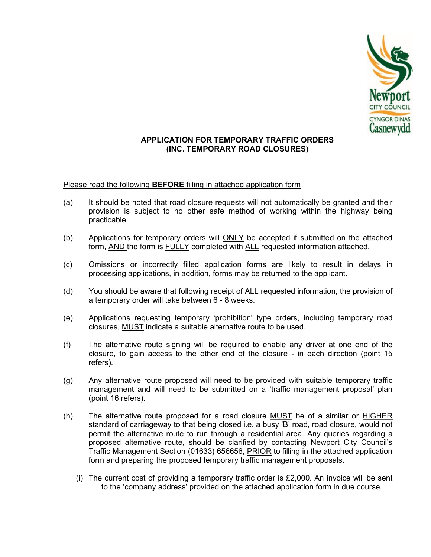

## APPLICATION FOR TEMPORARY TRAFFIC ORDERS (INC. TEMPORARY ROAD CLOSURES)

## Please read the following **BEFORE** filling in attached application form

- (a) It should be noted that road closure requests will not automatically be granted and their provision is subject to no other safe method of working within the highway being practicable.
- (b) Applications for temporary orders will  $ONLY$  be accepted if submitted on the attached form, AND the form is FULLY completed with ALL requested information attached.
- (c) Omissions or incorrectly filled application forms are likely to result in delays in processing applications, in addition, forms may be returned to the applicant.
- (d) You should be aware that following receipt of ALL requested information, the provision of a temporary order will take between 6 - 8 weeks.
- (e) Applications requesting temporary 'prohibition' type orders, including temporary road closures, MUST indicate a suitable alternative route to be used.
- (f) The alternative route signing will be required to enable any driver at one end of the closure, to gain access to the other end of the closure - in each direction (point 15 refers).
- (g) Any alternative route proposed will need to be provided with suitable temporary traffic management and will need to be submitted on a 'traffic management proposal' plan (point 16 refers).
- (h) The alternative route proposed for a road closure MUST be of a similar or HIGHER standard of carriageway to that being closed i.e. a busy 'B' road, road closure, would not permit the alternative route to run through a residential area. Any queries regarding a proposed alternative route, should be clarified by contacting Newport City Council's Traffic Management Section (01633) 656656, **PRIOR** to filling in the attached application form and preparing the proposed temporary traffic management proposals.
	- (i) The current cost of providing a temporary traffic order is  $£2,000$ . An invoice will be sent to the 'company address' provided on the attached application form in due course.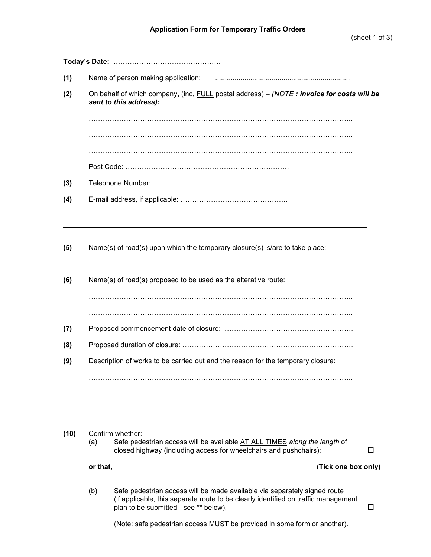| (1) | Name of person making application:                                                                                  |  |  |  |  |  |
|-----|---------------------------------------------------------------------------------------------------------------------|--|--|--|--|--|
| (2) | On behalf of which company, (inc, FULL postal address) - (NOTE: invoice for costs will be<br>sent to this address): |  |  |  |  |  |
|     |                                                                                                                     |  |  |  |  |  |
|     |                                                                                                                     |  |  |  |  |  |
|     |                                                                                                                     |  |  |  |  |  |
|     |                                                                                                                     |  |  |  |  |  |
| (3) |                                                                                                                     |  |  |  |  |  |
| (4) |                                                                                                                     |  |  |  |  |  |
| (5) | Name(s) of road(s) upon which the temporary closure(s) is/are to take place:                                        |  |  |  |  |  |
| (6) | Name(s) of road(s) proposed to be used as the alterative route:                                                     |  |  |  |  |  |
|     |                                                                                                                     |  |  |  |  |  |
| (7) |                                                                                                                     |  |  |  |  |  |
| (8) |                                                                                                                     |  |  |  |  |  |
| (9) | Description of works to be carried out and the reason for the temporary closure:                                    |  |  |  |  |  |
|     |                                                                                                                     |  |  |  |  |  |
|     |                                                                                                                     |  |  |  |  |  |

(10) Confirm whether:

(a) Safe pedestrian access will be available AT ALL TIMES along the length of closed highway (including access for wheelchairs and pushchairs);

or that,  $(Tick one box only)$ 

(b) Safe pedestrian access will be made available via separately signed route (if applicable, this separate route to be clearly identified on traffic management plan to be submitted - see \*\* below),  $\Box$ 

(Note: safe pedestrian access MUST be provided in some form or another).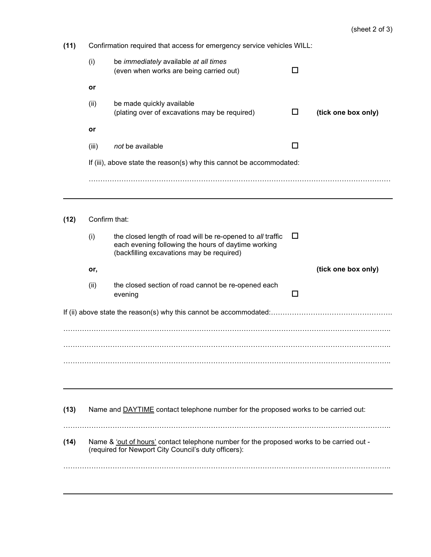| (11) |                                                                                                                                                   | Confirmation required that access for emergency service vehicles WILL:                                                                                         |   |                     |  |  |  |  |
|------|---------------------------------------------------------------------------------------------------------------------------------------------------|----------------------------------------------------------------------------------------------------------------------------------------------------------------|---|---------------------|--|--|--|--|
|      | (i)                                                                                                                                               | be immediately available at all times<br>(even when works are being carried out)                                                                               | П |                     |  |  |  |  |
|      | or                                                                                                                                                |                                                                                                                                                                |   |                     |  |  |  |  |
|      | (ii)                                                                                                                                              | be made quickly available<br>(plating over of excavations may be required)                                                                                     | ப | (tick one box only) |  |  |  |  |
|      | or                                                                                                                                                |                                                                                                                                                                |   |                     |  |  |  |  |
|      | (iii)                                                                                                                                             | not be available                                                                                                                                               | П |                     |  |  |  |  |
|      |                                                                                                                                                   |                                                                                                                                                                |   |                     |  |  |  |  |
|      |                                                                                                                                                   |                                                                                                                                                                |   |                     |  |  |  |  |
| (12) | Confirm that:                                                                                                                                     |                                                                                                                                                                |   |                     |  |  |  |  |
|      | (i)                                                                                                                                               | the closed length of road will be re-opened to all traffic<br>each evening following the hours of daytime working<br>(backfilling excavations may be required) | П |                     |  |  |  |  |
|      | or,                                                                                                                                               |                                                                                                                                                                |   | (tick one box only) |  |  |  |  |
|      | (ii)                                                                                                                                              | the closed section of road cannot be re-opened each<br>evening                                                                                                 | П |                     |  |  |  |  |
|      |                                                                                                                                                   |                                                                                                                                                                |   |                     |  |  |  |  |
|      |                                                                                                                                                   |                                                                                                                                                                |   |                     |  |  |  |  |
|      |                                                                                                                                                   |                                                                                                                                                                |   |                     |  |  |  |  |
|      |                                                                                                                                                   |                                                                                                                                                                |   |                     |  |  |  |  |
|      |                                                                                                                                                   |                                                                                                                                                                |   |                     |  |  |  |  |
|      |                                                                                                                                                   |                                                                                                                                                                |   |                     |  |  |  |  |
| (13) |                                                                                                                                                   | Name and DAYTIME contact telephone number for the proposed works to be carried out:                                                                            |   |                     |  |  |  |  |
|      |                                                                                                                                                   |                                                                                                                                                                |   |                     |  |  |  |  |
| (14) | Name & 'out of hours' contact telephone number for the proposed works to be carried out -<br>(required for Newport City Council's duty officers): |                                                                                                                                                                |   |                     |  |  |  |  |
|      |                                                                                                                                                   |                                                                                                                                                                |   |                     |  |  |  |  |
|      |                                                                                                                                                   |                                                                                                                                                                |   |                     |  |  |  |  |